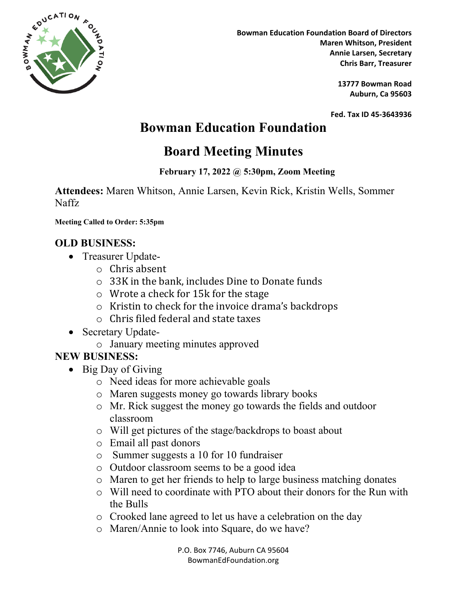

**Bowman Education Foundation Board of Directors Maren Whitson, President Annie Larsen, Secretary** ` **Chris Barr, Treasurer**

> **13777 Bowman Road Auburn, Ca 95603**

**Fed. Tax ID 45-3643936**

## **Bowman Education Foundation**

# **Board Meeting Minutes**

#### **February 17, 2022 @ 5:30pm, Zoom Meeting**

**Attendees:** Maren Whitson, Annie Larsen, Kevin Rick, Kristin Wells, Sommer Naffz

**Meeting Called to Order: 5:35pm**

### **OLD BUSINESS:**

- Treasurer Update
	- o Chris absent
	- o 33K in the bank, includes Dine to Donate funds
	- o Wrote a check for 15k for the stage
	- o Kristin to check for the invoice drama's backdrops
	- o Chris filed federal and state taxes
- Secretary Update
	- o January meeting minutes approved

## **NEW BUSINESS:**

- Big Day of Giving
	- o Need ideas for more achievable goals
	- o Maren suggests money go towards library books
	- o Mr. Rick suggest the money go towards the fields and outdoor classroom
	- o Will get pictures of the stage/backdrops to boast about
	- o Email all past donors
	- o Summer suggests a 10 for 10 fundraiser
	- o Outdoor classroom seems to be a good idea
	- o Maren to get her friends to help to large business matching donates
	- o Will need to coordinate with PTO about their donors for the Run with the Bulls
	- o Crooked lane agreed to let us have a celebration on the day
	- o Maren/Annie to look into Square, do we have?